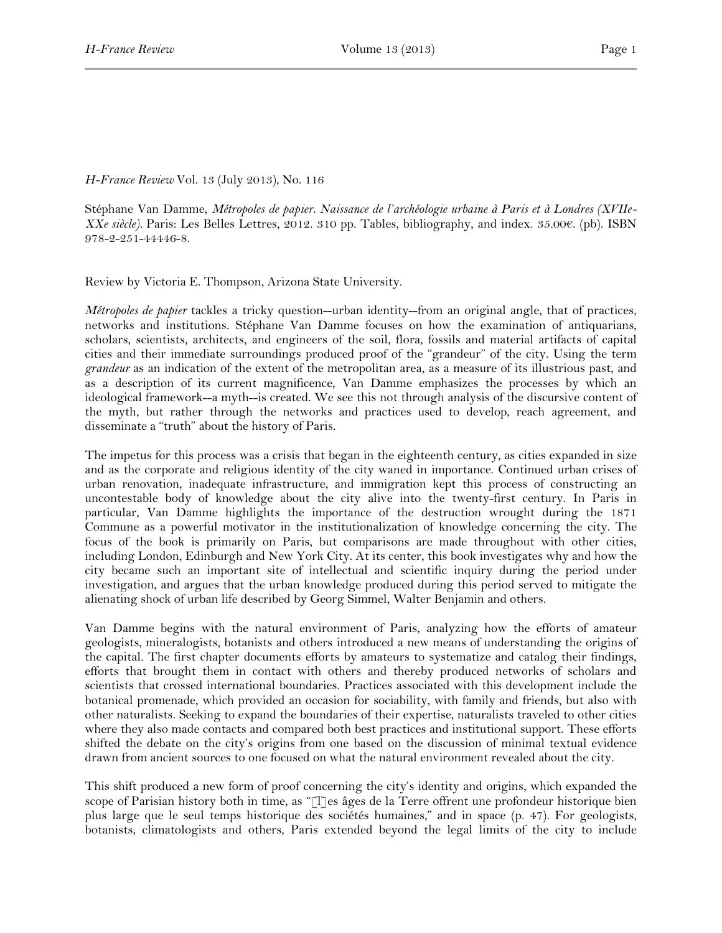## *H-France Review* Vol. 13 (July 2013), No. 116

Stéphane Van Damme, *Métropoles de papier. Naissance de l'archéologie urbaine à Paris et à Londres (XVIIe-XXe siècle).* Paris: Les Belles Lettres, 2012. 310 pp. Tables, bibliography, and index. 35.00€. (pb). ISBN 978-2-251-44446-8.

Review by Victoria E. Thompson, Arizona State University.

*Métropoles de papier* tackles a tricky question--urban identity--from an original angle, that of practices, networks and institutions. Stéphane Van Damme focuses on how the examination of antiquarians, scholars, scientists, architects, and engineers of the soil, flora, fossils and material artifacts of capital cities and their immediate surroundings produced proof of the "grandeur" of the city. Using the term *grandeur* as an indication of the extent of the metropolitan area, as a measure of its illustrious past, and as a description of its current magnificence, Van Damme emphasizes the processes by which an ideological framework--a myth--is created. We see this not through analysis of the discursive content of the myth, but rather through the networks and practices used to develop, reach agreement, and disseminate a "truth" about the history of Paris.

The impetus for this process was a crisis that began in the eighteenth century, as cities expanded in size and as the corporate and religious identity of the city waned in importance. Continued urban crises of urban renovation, inadequate infrastructure, and immigration kept this process of constructing an uncontestable body of knowledge about the city alive into the twenty-first century. In Paris in particular, Van Damme highlights the importance of the destruction wrought during the 1871 Commune as a powerful motivator in the institutionalization of knowledge concerning the city. The focus of the book is primarily on Paris, but comparisons are made throughout with other cities, including London, Edinburgh and New York City. At its center, this book investigates why and how the city became such an important site of intellectual and scientific inquiry during the period under investigation, and argues that the urban knowledge produced during this period served to mitigate the alienating shock of urban life described by Georg Simmel, Walter Benjamin and others.

Van Damme begins with the natural environment of Paris, analyzing how the efforts of amateur geologists, mineralogists, botanists and others introduced a new means of understanding the origins of the capital. The first chapter documents efforts by amateurs to systematize and catalog their findings, efforts that brought them in contact with others and thereby produced networks of scholars and scientists that crossed international boundaries. Practices associated with this development include the botanical promenade, which provided an occasion for sociability, with family and friends, but also with other naturalists. Seeking to expand the boundaries of their expertise, naturalists traveled to other cities where they also made contacts and compared both best practices and institutional support. These efforts shifted the debate on the city's origins from one based on the discussion of minimal textual evidence drawn from ancient sources to one focused on what the natural environment revealed about the city.

This shift produced a new form of proof concerning the city's identity and origins, which expanded the scope of Parisian history both in time, as "[l]es âges de la Terre offrent une profondeur historique bien plus large que le seul temps historique des sociétés humaines," and in space (p. 47). For geologists, botanists, climatologists and others, Paris extended beyond the legal limits of the city to include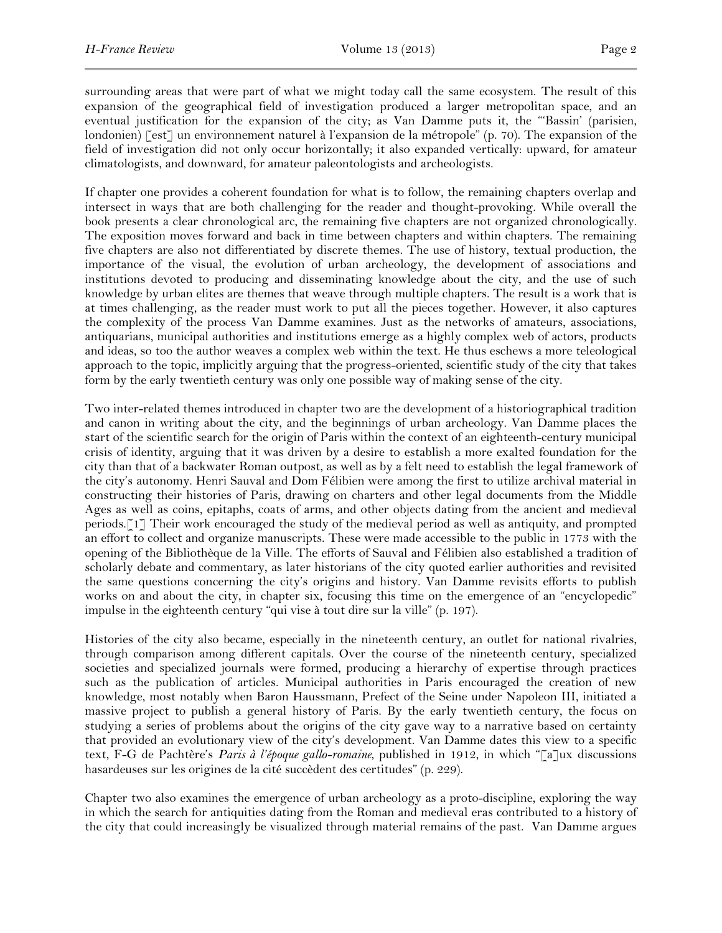surrounding areas that were part of what we might today call the same ecosystem. The result of this expansion of the geographical field of investigation produced a larger metropolitan space, and an eventual justification for the expansion of the city; as Van Damme puts it, the "'Bassin' (parisien, londonien) [est] un environnement naturel à l'expansion de la métropole" (p. 70). The expansion of the field of investigation did not only occur horizontally; it also expanded vertically: upward, for amateur climatologists, and downward, for amateur paleontologists and archeologists.

If chapter one provides a coherent foundation for what is to follow, the remaining chapters overlap and intersect in ways that are both challenging for the reader and thought-provoking. While overall the book presents a clear chronological arc, the remaining five chapters are not organized chronologically. The exposition moves forward and back in time between chapters and within chapters. The remaining five chapters are also not differentiated by discrete themes. The use of history, textual production, the importance of the visual, the evolution of urban archeology, the development of associations and institutions devoted to producing and disseminating knowledge about the city, and the use of such knowledge by urban elites are themes that weave through multiple chapters. The result is a work that is at times challenging, as the reader must work to put all the pieces together. However, it also captures the complexity of the process Van Damme examines. Just as the networks of amateurs, associations, antiquarians, municipal authorities and institutions emerge as a highly complex web of actors, products and ideas, so too the author weaves a complex web within the text. He thus eschews a more teleological approach to the topic, implicitly arguing that the progress-oriented, scientific study of the city that takes form by the early twentieth century was only one possible way of making sense of the city.

Two inter-related themes introduced in chapter two are the development of a historiographical tradition and canon in writing about the city, and the beginnings of urban archeology. Van Damme places the start of the scientific search for the origin of Paris within the context of an eighteenth-century municipal crisis of identity, arguing that it was driven by a desire to establish a more exalted foundation for the city than that of a backwater Roman outpost, as well as by a felt need to establish the legal framework of the city's autonomy. Henri Sauval and Dom Félibien were among the first to utilize archival material in constructing their histories of Paris, drawing on charters and other legal documents from the Middle Ages as well as coins, epitaphs, coats of arms, and other objects dating from the ancient and medieval periods.[1] Their work encouraged the study of the medieval period as well as antiquity, and prompted an effort to collect and organize manuscripts. These were made accessible to the public in 1773 with the opening of the Bibliothèque de la Ville. The efforts of Sauval and Félibien also established a tradition of scholarly debate and commentary, as later historians of the city quoted earlier authorities and revisited the same questions concerning the city's origins and history. Van Damme revisits efforts to publish works on and about the city, in chapter six, focusing this time on the emergence of an "encyclopedic" impulse in the eighteenth century "qui vise à tout dire sur la ville" (p. 197).

Histories of the city also became, especially in the nineteenth century, an outlet for national rivalries, through comparison among different capitals. Over the course of the nineteenth century, specialized societies and specialized journals were formed, producing a hierarchy of expertise through practices such as the publication of articles. Municipal authorities in Paris encouraged the creation of new knowledge, most notably when Baron Haussmann, Prefect of the Seine under Napoleon III, initiated a massive project to publish a general history of Paris. By the early twentieth century, the focus on studying a series of problems about the origins of the city gave way to a narrative based on certainty that provided an evolutionary view of the city's development. Van Damme dates this view to a specific text, F-G de Pachtère's *Paris à l'époque gallo-romaine*, published in 1912, in which "[a]ux discussions hasardeuses sur les origines de la cité succèdent des certitudes" (p. 229).

Chapter two also examines the emergence of urban archeology as a proto-discipline, exploring the way in which the search for antiquities dating from the Roman and medieval eras contributed to a history of the city that could increasingly be visualized through material remains of the past. Van Damme argues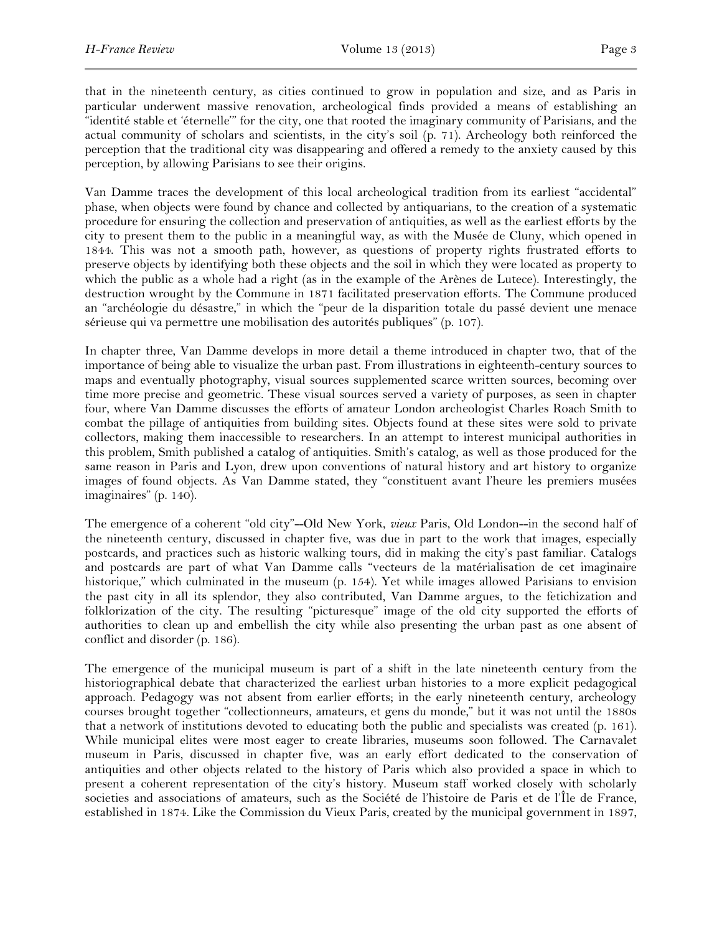that in the nineteenth century, as cities continued to grow in population and size, and as Paris in particular underwent massive renovation, archeological finds provided a means of establishing an "identité stable et 'éternelle'" for the city, one that rooted the imaginary community of Parisians, and the actual community of scholars and scientists, in the city's soil (p. 71). Archeology both reinforced the perception that the traditional city was disappearing and offered a remedy to the anxiety caused by this perception, by allowing Parisians to see their origins.

Van Damme traces the development of this local archeological tradition from its earliest "accidental" phase, when objects were found by chance and collected by antiquarians, to the creation of a systematic procedure for ensuring the collection and preservation of antiquities, as well as the earliest efforts by the city to present them to the public in a meaningful way, as with the Musée de Cluny, which opened in 1844. This was not a smooth path, however, as questions of property rights frustrated efforts to preserve objects by identifying both these objects and the soil in which they were located as property to which the public as a whole had a right (as in the example of the Arènes de Lutece). Interestingly, the destruction wrought by the Commune in 1871 facilitated preservation efforts. The Commune produced an "archéologie du désastre," in which the "peur de la disparition totale du passé devient une menace sérieuse qui va permettre une mobilisation des autorités publiques" (p. 107).

In chapter three, Van Damme develops in more detail a theme introduced in chapter two, that of the importance of being able to visualize the urban past. From illustrations in eighteenth-century sources to maps and eventually photography, visual sources supplemented scarce written sources, becoming over time more precise and geometric. These visual sources served a variety of purposes, as seen in chapter four, where Van Damme discusses the efforts of amateur London archeologist Charles Roach Smith to combat the pillage of antiquities from building sites. Objects found at these sites were sold to private collectors, making them inaccessible to researchers. In an attempt to interest municipal authorities in this problem, Smith published a catalog of antiquities. Smith's catalog, as well as those produced for the same reason in Paris and Lyon, drew upon conventions of natural history and art history to organize images of found objects. As Van Damme stated, they "constituent avant l'heure les premiers musées imaginaires" (p. 140).

The emergence of a coherent "old city"--Old New York, *vieux* Paris, Old London--in the second half of the nineteenth century, discussed in chapter five, was due in part to the work that images, especially postcards, and practices such as historic walking tours, did in making the city's past familiar. Catalogs and postcards are part of what Van Damme calls "vecteurs de la matérialisation de cet imaginaire historique," which culminated in the museum (p. 154). Yet while images allowed Parisians to envision the past city in all its splendor, they also contributed, Van Damme argues, to the fetichization and folklorization of the city. The resulting "picturesque" image of the old city supported the efforts of authorities to clean up and embellish the city while also presenting the urban past as one absent of conflict and disorder (p. 186).

The emergence of the municipal museum is part of a shift in the late nineteenth century from the historiographical debate that characterized the earliest urban histories to a more explicit pedagogical approach. Pedagogy was not absent from earlier efforts; in the early nineteenth century, archeology courses brought together "collectionneurs, amateurs, et gens du monde," but it was not until the 1880s that a network of institutions devoted to educating both the public and specialists was created (p. 161). While municipal elites were most eager to create libraries, museums soon followed. The Carnavalet museum in Paris, discussed in chapter five, was an early effort dedicated to the conservation of antiquities and other objects related to the history of Paris which also provided a space in which to present a coherent representation of the city's history. Museum staff worked closely with scholarly societies and associations of amateurs, such as the Société de l'histoire de Paris et de l'Île de France, established in 1874. Like the Commission du Vieux Paris, created by the municipal government in 1897,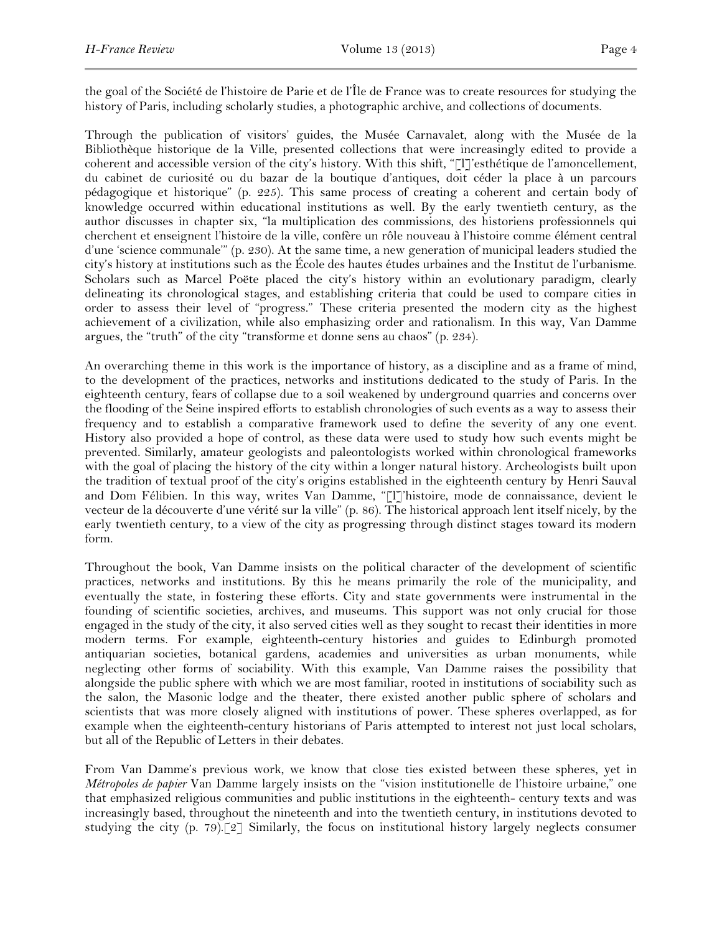the goal of the Société de l'histoire de Parie et de l'Île de France was to create resources for studying the history of Paris, including scholarly studies, a photographic archive, and collections of documents.

Through the publication of visitors' guides, the Musée Carnavalet, along with the Musée de la Bibliothèque historique de la Ville, presented collections that were increasingly edited to provide a coherent and accessible version of the city's history. With this shift, "[l]'esthétique de l'amoncellement, du cabinet de curiosité ou du bazar de la boutique d'antiques, doit céder la place à un parcours pédagogique et historique" (p. 225). This same process of creating a coherent and certain body of knowledge occurred within educational institutions as well. By the early twentieth century, as the author discusses in chapter six, "la multiplication des commissions, des historiens professionnels qui cherchent et enseignent l'histoire de la ville, confère un rôle nouveau à l'histoire comme élément central d'une 'science communale'" (p. 230). At the same time, a new generation of municipal leaders studied the city's history at institutions such as the École des hautes études urbaines and the Institut de l'urbanisme. Scholars such as Marcel Poëte placed the city's history within an evolutionary paradigm, clearly delineating its chronological stages, and establishing criteria that could be used to compare cities in order to assess their level of "progress." These criteria presented the modern city as the highest achievement of a civilization, while also emphasizing order and rationalism. In this way, Van Damme argues, the "truth" of the city "transforme et donne sens au chaos" (p. 234).

An overarching theme in this work is the importance of history, as a discipline and as a frame of mind, to the development of the practices, networks and institutions dedicated to the study of Paris. In the eighteenth century, fears of collapse due to a soil weakened by underground quarries and concerns over the flooding of the Seine inspired efforts to establish chronologies of such events as a way to assess their frequency and to establish a comparative framework used to define the severity of any one event. History also provided a hope of control, as these data were used to study how such events might be prevented. Similarly, amateur geologists and paleontologists worked within chronological frameworks with the goal of placing the history of the city within a longer natural history. Archeologists built upon the tradition of textual proof of the city's origins established in the eighteenth century by Henri Sauval and Dom Félibien. In this way, writes Van Damme, "[l]'histoire, mode de connaissance, devient le vecteur de la découverte d'une vérité sur la ville" (p. 86). The historical approach lent itself nicely, by the early twentieth century, to a view of the city as progressing through distinct stages toward its modern form.

Throughout the book, Van Damme insists on the political character of the development of scientific practices, networks and institutions. By this he means primarily the role of the municipality, and eventually the state, in fostering these efforts. City and state governments were instrumental in the founding of scientific societies, archives, and museums. This support was not only crucial for those engaged in the study of the city, it also served cities well as they sought to recast their identities in more modern terms. For example, eighteenth-century histories and guides to Edinburgh promoted antiquarian societies, botanical gardens, academies and universities as urban monuments, while neglecting other forms of sociability. With this example, Van Damme raises the possibility that alongside the public sphere with which we are most familiar, rooted in institutions of sociability such as the salon, the Masonic lodge and the theater, there existed another public sphere of scholars and scientists that was more closely aligned with institutions of power. These spheres overlapped, as for example when the eighteenth-century historians of Paris attempted to interest not just local scholars, but all of the Republic of Letters in their debates.

From Van Damme's previous work, we know that close ties existed between these spheres, yet in *Métropoles de papier* Van Damme largely insists on the "vision institutionelle de l'histoire urbaine," one that emphasized religious communities and public institutions in the eighteenth- century texts and was increasingly based, throughout the nineteenth and into the twentieth century, in institutions devoted to studying the city (p. 79).[2] Similarly, the focus on institutional history largely neglects consumer